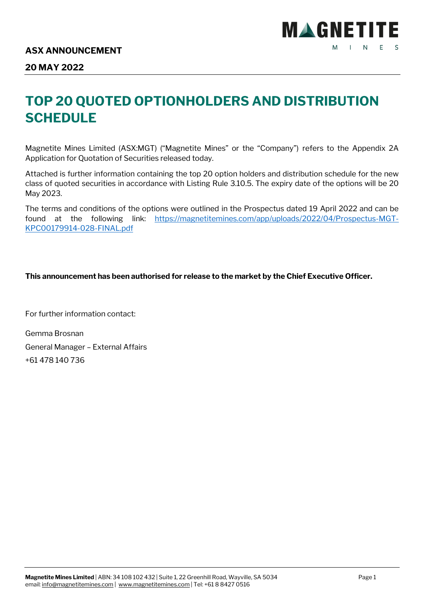

## **20 MAY 2022**

## **TOP 20 QUOTED OPTIONHOLDERS AND DISTRIBUTION SCHEDULE**

Magnetite Mines Limited (ASX:MGT) ("Magnetite Mines" or the "Company") refers to the Appendix 2A Application for Quotation of Securities released today.

Attached is further information containing the top 20 option holders and distribution schedule for the new class of quoted securities in accordance with Listing Rule 3.10.5. The expiry date of the options will be 20 May 2023.

The terms and conditions of the op[tions were outlined in the Prospectus dated 19 April 2022 and can be](https://magnetitemines.com/app/uploads/2022/04/Prospectus-MGT-KPC00179914-028-FINAL.pdf)  [found at the following li](https://magnetitemines.com/app/uploads/2022/04/Prospectus-MGT-KPC00179914-028-FINAL.pdf)nk: https://magnetitemines.com/app/uploads/2022/04/Prospectus-MGT-KPC00179914-028-FINAL.pdf

### **This announcement has been authorised for release to the market by the Chief Executive Officer.**

For further information contact:

Gemma Brosnan General Manager – External Affairs +61 478 140 736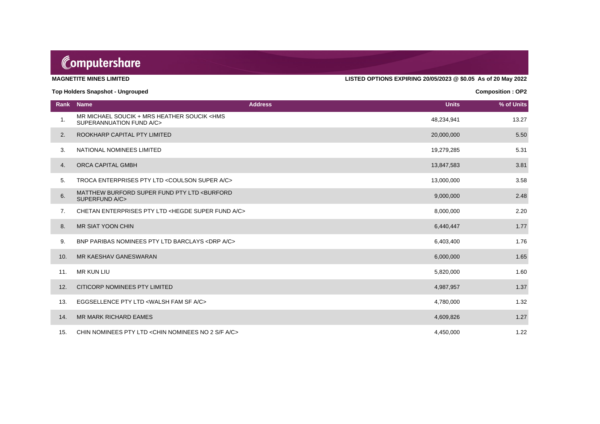# Computershare

**MAGNETITE MINES LIMITED LISTED OPTIONS EXPIRING 20/05/2023 @ \$0.05 As of 20 May 2022**

#### **Top Holders Snapshot - Ungrouped Composition : OP2**

| Rank | <b>Name</b>                                                                         | <b>Address</b><br><b>Units</b> | % of Units |
|------|-------------------------------------------------------------------------------------|--------------------------------|------------|
| 1.   | MR MICHAEL SOUCIK + MRS HEATHER SOUCIK <hms<br>SUPERANNUATION FUND A/C&gt;</hms<br> | 48,234,941                     | 13.27      |
| 2.   | ROOKHARP CAPITAL PTY LIMITED                                                        | 20,000,000                     | 5.50       |
| 3.   | NATIONAL NOMINEES LIMITED                                                           | 19,279,285                     | 5.31       |
| 4.   | ORCA CAPITAL GMBH                                                                   | 13,847,583                     | 3.81       |
| 5.   | TROCA ENTERPRISES PTY LTD < COULSON SUPER A/C>                                      | 13,000,000                     | 3.58       |
| 6.   | MATTHEW BURFORD SUPER FUND PTY LTD <burford<br>SUPERFUND A/C&gt;</burford<br>       | 9,000,000                      | 2.48       |
| 7.   | CHETAN ENTERPRISES PTY LTD <hegde a="" c="" fund="" super=""></hegde>               | 8,000,000                      | 2.20       |
| 8.   | <b>MR SIAT YOON CHIN</b>                                                            | 6,440,447                      | 1.77       |
| 9.   | BNP PARIBAS NOMINEES PTY LTD BARCLAYS <drp a="" c=""></drp>                         | 6,403,400                      | 1.76       |
| 10.  | MR KAESHAV GANESWARAN                                                               | 6,000,000                      | 1.65       |
| 11.  | <b>MR KUN LIU</b>                                                                   | 5,820,000                      | 1.60       |
| 12.  | CITICORP NOMINEES PTY LIMITED                                                       | 4,987,957                      | 1.37       |
| 13.  | EGGSELLENCE PTY LTD <walsh a="" c="" fam="" sf=""></walsh>                          | 4,780,000                      | 1.32       |
| 14.  | <b>MR MARK RICHARD EAMES</b>                                                        | 4,609,826                      | 1.27       |
| 15.  | CHIN NOMINEES PTY LTD < CHIN NOMINEES NO 2 S/F A/C>                                 | 4,450,000                      | 1.22       |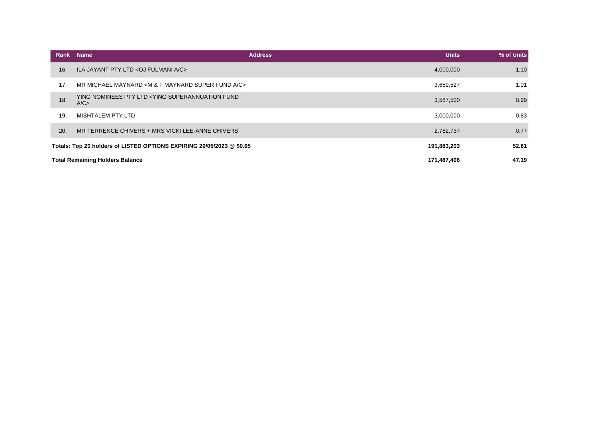|                                                                                      | Rank | <b>Name</b>                                                         | <b>Units</b><br><b>Address</b> | % of Units |
|--------------------------------------------------------------------------------------|------|---------------------------------------------------------------------|--------------------------------|------------|
|                                                                                      | 16.  | ILA JAYANT PTY LTD < OJ FULMANI A/C>                                | 4,000,000                      | 1.10       |
|                                                                                      | 17.  | MR MICHAEL MAYNARD < M & T MAYNARD SUPER FUND A/C>                  | 3,659,527                      | 1.01       |
|                                                                                      | 18.  | YING NOMINEES PTY LTD <ying fund<br="" superannuation="">A/C</ying> | 3,587,500                      | 0.99       |
|                                                                                      | 19.  | <b>MISHTALEM PTY LTD</b>                                            | 3,000,000                      | 0.83       |
|                                                                                      | 20.  | MR TERRENCE CHIVERS + MRS VICKI LEE-ANNE CHIVERS                    | 2,782,737                      | 0.77       |
| Totals: Top 20 holders of LISTED OPTIONS EXPIRING 20/05/2023 @ \$0.05<br>191,883,203 |      | 52.81                                                               |                                |            |
| <b>Total Remaining Holders Balance</b><br>171,487,496                                |      | 47.19                                                               |                                |            |